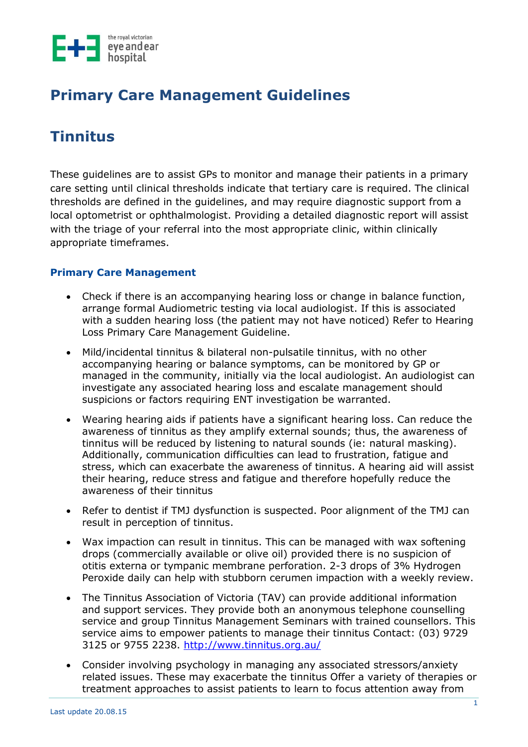

## **Primary Care Management Guidelines**

# **Tinnitus**

These guidelines are to assist GPs to monitor and manage their patients in a primary care setting until clinical thresholds indicate that tertiary care is required. The clinical thresholds are defined in the guidelines, and may require diagnostic support from a local optometrist or ophthalmologist. Providing a detailed diagnostic report will assist with the triage of your referral into the most appropriate clinic, within clinically appropriate timeframes.

### **Primary Care Management**

- Check if there is an accompanying hearing loss or change in balance function, arrange formal Audiometric testing via local audiologist. If this is associated with a sudden hearing loss (the patient may not have noticed) Refer to Hearing Loss Primary Care Management Guideline.
- Mild/incidental tinnitus & bilateral non-pulsatile tinnitus, with no other accompanying hearing or balance symptoms, can be monitored by GP or managed in the community, initially via the local audiologist. An audiologist can investigate any associated hearing loss and escalate management should suspicions or factors requiring ENT investigation be warranted.
- Wearing hearing aids if patients have a significant hearing loss. Can reduce the awareness of tinnitus as they amplify external sounds; thus, the awareness of tinnitus will be reduced by listening to natural sounds (ie: natural masking). Additionally, communication difficulties can lead to frustration, fatigue and stress, which can exacerbate the awareness of tinnitus. A hearing aid will assist their hearing, reduce stress and fatigue and therefore hopefully reduce the awareness of their tinnitus
- Refer to dentist if TMJ dysfunction is suspected. Poor alignment of the TMJ can result in perception of tinnitus.
- Wax impaction can result in tinnitus. This can be managed with wax softening drops (commercially available or olive oil) provided there is no suspicion of otitis externa or tympanic membrane perforation. 2-3 drops of 3% Hydrogen Peroxide daily can help with stubborn cerumen impaction with a weekly review.
- The Tinnitus Association of Victoria (TAV) can provide additional information and support services. They provide both an anonymous telephone counselling service and group Tinnitus Management Seminars with trained counsellors. This service aims to empower patients to manage their tinnitus Contact: (03) 9729 3125 or 9755 2238.<http://www.tinnitus.org.au/>
- Consider involving psychology in managing any associated stressors/anxiety related issues. These may exacerbate the tinnitus Offer a variety of therapies or treatment approaches to assist patients to learn to focus attention away from